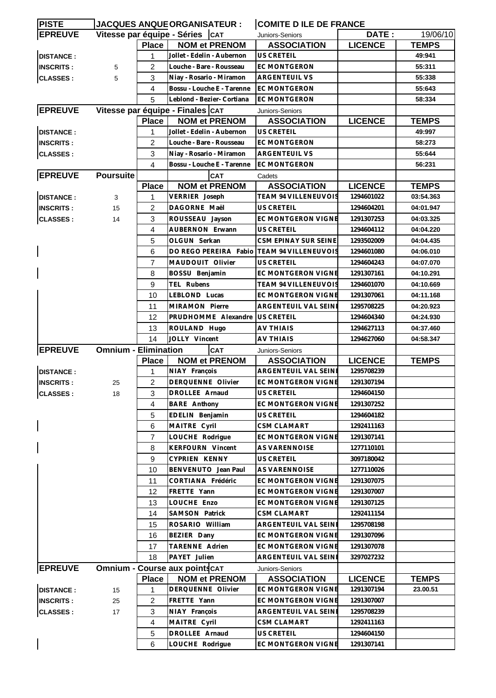| <b>PISTE</b>     |                             |                | <b>JACQUES ANQUEORGANISATEUR :</b>                   | <b>COMITE D ILE DE FRANCE</b>              |                          |              |
|------------------|-----------------------------|----------------|------------------------------------------------------|--------------------------------------------|--------------------------|--------------|
| <b>EPREUVE</b>   |                             |                | Vitesse par équipe - Séries   CAT                    | Juniors-Seniors                            | DATE:                    | 19/06/10     |
|                  |                             | <b>Place</b>   | <b>NOM et PRENOM</b>                                 | <b>ASSOCIATION</b>                         | <b>LICENCE</b>           | <b>TEMPS</b> |
| <b>DISTANCE:</b> |                             | 1              | Jollet - Edelin - Aubernon                           | <b>US CRETEIL</b>                          |                          | 49:941       |
| <b>INSCRITS:</b> | 5                           | 2              | Louche - Bare - Rousseau                             | EC MONTGERON                               |                          | 55:311       |
| <b>CLASSES:</b>  | 5                           | 3              | Niay - Rosario - Miramon                             | <b>ARGENTEUIL VS</b>                       |                          | 55:338       |
|                  |                             | 4              | Bossu - Louche E - Tarenne                           | <b>EC MONTGERON</b>                        |                          | 55:643       |
|                  |                             | 5              | Leblond - Bezier- Cortiana                           | <b>EC MONTGERON</b>                        |                          | 58:334       |
| <b>EPREUVE</b>   |                             |                | Vitesse par équipe - Finales CAT                     |                                            |                          |              |
|                  |                             | <b>Place</b>   | <b>NOM et PRENOM</b>                                 | Juniors-Seniors<br><b>ASSOCIATION</b>      | <b>LICENCE</b>           | <b>TEMPS</b> |
| <b>DISTANCE:</b> |                             | 1              | Jollet - Edelin - Aubernon                           | <b>US CRETEIL</b>                          |                          | 49:997       |
|                  |                             |                |                                                      |                                            | 58:273                   |              |
| <b>INSCRITS:</b> |                             | $\overline{2}$ | Louche - Bare - Rousseau<br><b>EC MONTGERON</b>      |                                            |                          |              |
| <b>CLASSES:</b>  |                             | 3              | Niay - Rosario - Miramon                             | <b>ARGENTEUIL VS</b>                       |                          | 55:644       |
|                  |                             | 4              | Bossu - Louche E - Tarenne                           | <b>EC MONTGERON</b>                        |                          | 56:231       |
| <b>EPREUVE</b>   | <b>Poursuite</b>            |                | <b>CAT</b>                                           | Cadets                                     |                          |              |
|                  |                             | <b>Place</b>   | <b>NOM et PRENOM</b>                                 | <b>ASSOCIATION</b>                         | <b>LICENCE</b>           | <b>TEMPS</b> |
| <b>DISTANCE:</b> | 3                           | 1              | TEAM 94 VILLENEUVOIS<br>VERRIER Joseph<br>1294601022 |                                            | 03:54.363                |              |
| <b>INSCRITS:</b> | 15                          | $\overline{c}$ | DAGORNE Maël<br><b>US CRETEIL</b><br>1294604201      |                                            |                          | 04:01.947    |
| <b>CLASSES:</b>  | 14                          | 3              | ROUSSEAU Jayson                                      | <b>EC MONTGERON VIGNE</b>                  | 1291307253               | 04:03.325    |
|                  |                             | 4              | <b>AUBERNON Erwann</b>                               | US CRETEIL                                 | 1294604112               | 04:04.220    |
|                  |                             | 5              | OLGUN Serkan                                         | CSM EPINAY SUR SEINE                       | 1293502009               | 04:04.435    |
|                  |                             | 6              | DO REGO PEREIRA Fabio TEAM 94 VILLENEUVOIS           |                                            | 1294601080               | 04:06.010    |
|                  |                             | $\overline{7}$ | MAUDOUIT Olivier                                     | <b>US CRETEIL</b>                          | 1294604243               | 04:07.070    |
|                  |                             | 8              | BOSSU Benjamin                                       | <b>EC MONTGERON VIGNE</b>                  | 1291307161               | 04:10.291    |
|                  |                             | 9              | TEL Rubens                                           | <b>TEAM 94 VILLENEUVOIS</b>                | 1294601070               | 04:10.669    |
|                  |                             | 10             | LEBLOND Lucas                                        | EC MONTGERON VIGNE                         | 1291307061               | 04:11.168    |
|                  |                             | 11             | MIRAMON Pierre                                       | ARGENTEUIL VAL SEINI                       | 1295708225               | 04:20.923    |
|                  |                             | 12             | PRUDHOMME Alexandre                                  | <b>US CRETEIL</b>                          | 1294604340               | 04:24.930    |
|                  |                             | 13             | ROULAND Hugo                                         | AV THIAIS                                  | 1294627113               | 04:37.460    |
|                  |                             | 14             | JOLLY Vincent                                        | AV THIAIS                                  | 1294627060               | 04:58.347    |
| <b>EPREUVE</b>   | <b>Omnium - Elimination</b> |                | <b>CAT</b>                                           | Juniors-Seniors                            |                          |              |
|                  |                             | <b>Place</b>   | <b>NOM et PRENOM</b>                                 | <b>ASSOCIATION</b>                         | <b>LICENCE</b>           | <b>TEMPS</b> |
| <b>DISTANCE:</b> |                             | 1              | NIAY François                                        | ARGENTEUIL VAL SEINI                       | 1295708239               |              |
| <b>INSCRITS:</b> | 25                          | $\overline{2}$ | DERQUENNE Olivier                                    | <b>EC MONTGERON VIGNE</b>                  | 1291307194               |              |
| <b>CLASSES:</b>  | 18                          | 3 <sup>1</sup> | DROLLEE Arnaud                                       | US CRETEIL                                 | 1294604150               |              |
|                  |                             | 4              | <b>BARE Anthony</b>                                  | EC MONTGERON VIGNE                         | 1291307252               |              |
|                  |                             | 5              | EDELIN Benjamin                                      | US CRETEIL                                 | 1294604182               |              |
|                  |                             | 6              | MAITRE Cyril                                         | <b>CSM CLAMART</b>                         | 1292411163               |              |
|                  |                             | $\overline{7}$ | LOUCHE Rodrigue                                      | <b>EC MONTGERON VIGNE</b>                  | 1291307141               |              |
|                  |                             | 8              | <b>KERFOURN Vincent</b>                              | AS VARENNOISE                              | 1277110101               |              |
|                  |                             | 9              | CYPRIEN KENNY                                        | US CRETEIL                                 | 3097180042               |              |
|                  |                             | 10             | BENVENUTO Jean Paul                                  | AS VARENNOISE                              | 1277110026               |              |
|                  |                             | 11             | CORTIANA Frédéric                                    | EC MONTGERON VIGNE                         | 1291307075               |              |
|                  |                             | 12             | FRETTE Yann                                          | EC MONTGERON VIGNE                         | 1291307007               |              |
|                  |                             | 13             | LOUCHE Enzo                                          | EC MONTGERON VIGNE                         | 1291307125               |              |
|                  |                             | 14             | <b>SAMSON Patrick</b>                                | <b>CSM CLAMART</b>                         | 1292411154               |              |
|                  |                             |                |                                                      |                                            |                          |              |
|                  |                             | 15             | ROSARIO William<br>BEZIER Dany                       | ARGENTEUIL VAL SEINE<br>EC MONTGERON VIGNE | 1295708198<br>1291307096 |              |
|                  |                             | 16             |                                                      |                                            |                          |              |
|                  |                             | 17             | TARENNE Adrien                                       | EC MONTGERON VIGNE                         | 1291307078               |              |
|                  |                             | 18             | PAYET Julien                                         | ARGENTEUIL VAL SEINI                       | 3297027232               |              |
| <b>EPREUVE</b>   |                             |                | <b>Omnium - Course aux points CAT</b>                | Juniors-Seniors                            |                          |              |
|                  |                             | <b>Place</b>   | <b>NOM et PRENOM</b>                                 | <b>ASSOCIATION</b>                         | <b>LICENCE</b>           | <b>TEMPS</b> |
| <b>DISTANCE:</b> | 15                          | 1              | DERQUENNE Olivier                                    | EC MONTGERON VIGNE                         | 1291307194               | 23.00.51     |
| <b>INSCRITS:</b> | 25                          | 2              | FRETTE Yann                                          | EC MONTGERON VIGNE                         | 1291307007               |              |
| <b>CLASSES:</b>  | 17                          | 3              | NIAY François                                        | ARGENTEUIL VAL SEINE                       | 1295708239               |              |
|                  |                             | $\overline{4}$ | MAITRE Cyril                                         | <b>CSM CLAMART</b>                         | 1292411163               |              |
|                  |                             | 5              | DROLLEE Arnaud                                       | US CRETEIL                                 | 1294604150               |              |
|                  |                             | 6              | LOUCHE Rodrigue                                      | EC MONTGERON VIGNE                         | 1291307141               |              |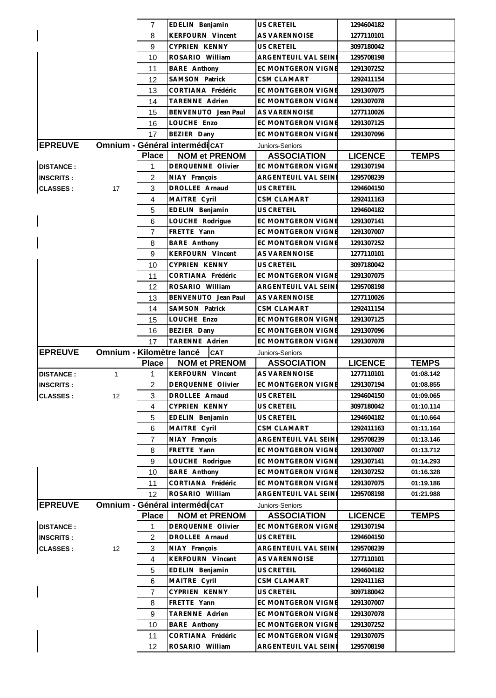|                  |                                 | $\overline{7}$ | EDELIN Benjamin               | <b>US CRETEIL</b>         | 1294604182     |              |
|------------------|---------------------------------|----------------|-------------------------------|---------------------------|----------------|--------------|
|                  |                                 | 8              | <b>KERFOURN Vincent</b>       | <b>AS VARENNOISE</b>      | 1277110101     |              |
|                  |                                 | 9              | CYPRIEN KENNY                 | <b>US CRETEIL</b>         | 3097180042     |              |
|                  |                                 | 10             | ROSARIO William               | ARGENTEUIL VAL SEINI      | 1295708198     |              |
|                  |                                 | 11             | <b>BARE</b> Anthony           | EC MONTGERON VIGNE        | 1291307252     |              |
|                  |                                 | 12             | SAMSON Patrick                | CSM CLAMART               | 1292411154     |              |
|                  |                                 | 13             | CORTIANA Frédéric             | <b>EC MONTGERON VIGNE</b> | 1291307075     |              |
|                  |                                 | 14             | TARENNE Adrien                | EC MONTGERON VIGNE        | 1291307078     |              |
|                  |                                 | 15             | BENVENUTO Jean Paul           | <b>AS VARENNOISE</b>      | 1277110026     |              |
|                  |                                 | 16             | LOUCHE Enzo                   | <b>EC MONTGERON VIGNE</b> | 1291307125     |              |
|                  |                                 | 17             | BEZIER Dany                   | <b>EC MONTGERON VIGNE</b> | 1291307096     |              |
| <b>EPREUVE</b>   |                                 |                | Omnium - Général intermédicAT | Juniors-Seniors           |                |              |
|                  |                                 | <b>Place</b>   | <b>NOM et PRENOM</b>          | <b>ASSOCIATION</b>        | <b>LICENCE</b> | <b>TEMPS</b> |
| <b>DISTANCE:</b> |                                 | 1              | DERQUENNE Olivier             | EC MONTGERON VIGNE        | 1291307194     |              |
|                  |                                 | $\overline{2}$ | NIAY François                 | ARGENTEUIL VAL SEINE      | 1295708239     |              |
| <b>INSCRITS:</b> |                                 |                | DROLLEE Arnaud                | <b>US CRETEIL</b>         |                |              |
| <b>CLASSES:</b>  | 17                              | 3              |                               |                           | 1294604150     |              |
|                  |                                 | 4              | MAITRE Cyril                  | CSM CLAMART               | 1292411163     |              |
|                  |                                 | 5              | EDELIN Benjamin               | US CRETEIL                | 1294604182     |              |
|                  |                                 | 6              | LOUCHE Rodrigue               | <b>EC MONTGERON VIGNE</b> | 1291307141     |              |
|                  |                                 | 7              | FRETTE Yann                   | <b>EC MONTGERON VIGNE</b> | 1291307007     |              |
|                  |                                 | 8              | <b>BARE</b> Anthony           | <b>EC MONTGERON VIGNE</b> | 1291307252     |              |
|                  |                                 | 9              | <b>KERFOURN Vincent</b>       | <b>AS VARENNOISE</b>      | 1277110101     |              |
|                  |                                 | 10             | CYPRIEN KENNY                 | <b>US CRETEIL</b>         | 3097180042     |              |
|                  |                                 | 11             | CORTIANA Frédéric             | EC MONTGERON VIGNE        | 1291307075     |              |
|                  |                                 | 12             | ROSARIO William               | ARGENTEUIL VAL SEINE      | 1295708198     |              |
|                  |                                 | 13             | BENVENUTO Jean Paul           | <b>AS VARENNOISE</b>      | 1277110026     |              |
|                  |                                 | 14             | SAMSON Patrick                | CSM CLAMART               | 1292411154     |              |
|                  |                                 | 15             | LOUCHE Enzo                   | EC MONTGERON VIGNE        | 1291307125     |              |
|                  |                                 | 16             | BEZIER Dany                   | EC MONTGERON VIGNE        | 1291307096     |              |
|                  |                                 | 17             | TARENNE Adrien                | EC MONTGERON VIGNE        | 1291307078     |              |
| <b>EPREUVE</b>   | <b>Omnium - Kilomètre lancé</b> |                | <b>CAT</b>                    | Juniors-Seniors           |                |              |
|                  |                                 | <b>Place</b>   | <b>NOM et PRENOM</b>          | <b>ASSOCIATION</b>        | <b>LICENCE</b> | <b>TEMPS</b> |
| <b>DISTANCE:</b> | $\mathbf{1}$                    | 1              | KERFOURN Vincent              | AS VARENNOISE             | 1277110101     | 01:08.142    |
| <b>INSCRITS:</b> |                                 | $\overline{2}$ | DERQUENNE Olivier             | <b>EC MONTGERON VIGNE</b> | 1291307194     | 01:08.855    |
| <b>CLASSES:</b>  | 12                              | 3              | DROLLEE Arnaud                | US CRETEIL                | 1294604150     | 01:09.065    |
|                  |                                 | 4              | CYPRIEN KENNY                 | US CRETEIL                | 3097180042     | 01:10.114    |
|                  |                                 | 5              | EDELIN Benjamin               | US CRETEIL                | 1294604182     | 01:10.664    |
|                  |                                 | 6              | MAITRE Cyril                  | CSM CLAMART               | 1292411163     | 01:11.164    |
|                  |                                 | $\overline{7}$ | NIAY François                 | ARGENTEUIL VAL SEINE      | 1295708239     | 01:13.146    |
|                  |                                 | 8              | FRETTE Yann                   | <b>EC MONTGERON VIGNE</b> | 1291307007     | 01:13.712    |
|                  |                                 | 9              | LOUCHE Rodrigue               | EC MONTGERON VIGNE        | 1291307141     | 01:14.293    |
|                  |                                 | 10             | <b>BARE</b> Anthony           | EC MONTGERON VIGNE        | 1291307252     | 01:16.328    |
|                  |                                 | 11             | CORTIANA Frédéric             | EC MONTGERON VIGNE        | 1291307075     | 01:19.186    |
|                  |                                 | 12             | ROSARIO William               | ARGENTEUIL VAL SEINI      | 1295708198     | 01:21.988    |
| <b>EPREUVE</b>   |                                 |                | Omnium - Général intermédicAT | Juniors-Seniors           |                |              |
|                  |                                 | <b>Place</b>   | <b>NOM et PRENOM</b>          | <b>ASSOCIATION</b>        | <b>LICENCE</b> | <b>TEMPS</b> |
| <b>DISTANCE:</b> |                                 | 1              | DERQUENNE Olivier             | EC MONTGERON VIGNE        | 1291307194     |              |
| <b>INSCRITS:</b> |                                 | $\overline{c}$ | DROLLEE Arnaud                | US CRETEIL                | 1294604150     |              |
| <b>CLASSES:</b>  | 12                              | 3              | NIAY François                 | ARGENTEUIL VAL SEINE      | 1295708239     |              |
|                  |                                 | 4              | KERFOURN Vincent              | AS VARENNOISE             | 1277110101     |              |
|                  |                                 | 5              | EDELIN Benjamin               | US CRETEIL                | 1294604182     |              |
|                  |                                 | 6              | MAITRE Cyril                  | CSM CLAMART               | 1292411163     |              |
|                  |                                 | $\overline{7}$ | CYPRIEN KENNY                 | US CRETEIL                | 3097180042     |              |
|                  |                                 | 8              | FRETTE Yann                   | EC MONTGERON VIGNE        | 1291307007     |              |
|                  |                                 | 9              | TARENNE Adrien                | EC MONTGERON VIGNE        | 1291307078     |              |
|                  |                                 |                |                               |                           |                |              |
|                  |                                 | 10             | <b>BARE</b> Anthony           | EC MONTGERON VIGNE        | 1291307252     |              |
|                  |                                 | 11             | CORTIANA Frédéric             | EC MONTGERON VIGNE        | 1291307075     |              |
|                  |                                 | 12             | ROSARIO William               | ARGENTEUIL VAL SEINE      | 1295708198     |              |